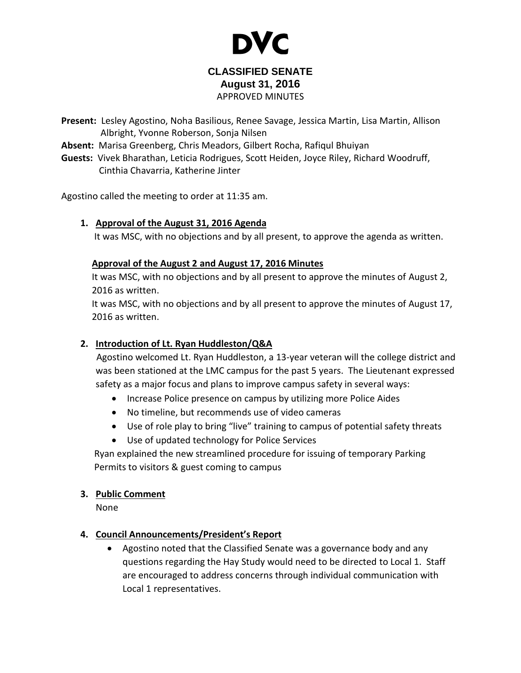

### **CLASSIFIED SENATE August 31, 2016** APPROVED MINUTES

**Present:** Lesley Agostino, Noha Basilious, Renee Savage, Jessica Martin, Lisa Martin, Allison Albright, Yvonne Roberson, Sonja Nilsen

**Absent:** Marisa Greenberg, Chris Meadors, Gilbert Rocha, Rafiqul Bhuiyan

**Guests:** Vivek Bharathan, Leticia Rodrigues, Scott Heiden, Joyce Riley, Richard Woodruff, Cinthia Chavarria, Katherine Jinter

Agostino called the meeting to order at 11:35 am.

## **1. Approval of the August 31, 2016 Agenda**

It was MSC, with no objections and by all present, to approve the agenda as written.

## **Approval of the August 2 and August 17, 2016 Minutes**

It was MSC, with no objections and by all present to approve the minutes of August 2, 2016 as written.

It was MSC, with no objections and by all present to approve the minutes of August 17, 2016 as written.

# **2. Introduction of Lt. Ryan Huddleston/Q&A**

Agostino welcomed Lt. Ryan Huddleston, a 13-year veteran will the college district and was been stationed at the LMC campus for the past 5 years. The Lieutenant expressed safety as a major focus and plans to improve campus safety in several ways:

- Increase Police presence on campus by utilizing more Police Aides
- No timeline, but recommends use of video cameras
- Use of role play to bring "live" training to campus of potential safety threats
- Use of updated technology for Police Services

Ryan explained the new streamlined procedure for issuing of temporary Parking Permits to visitors & guest coming to campus

### **3. Public Comment**

None

# **4. Council Announcements/President's Report**

 Agostino noted that the Classified Senate was a governance body and any questions regarding the Hay Study would need to be directed to Local 1. Staff are encouraged to address concerns through individual communication with Local 1 representatives.